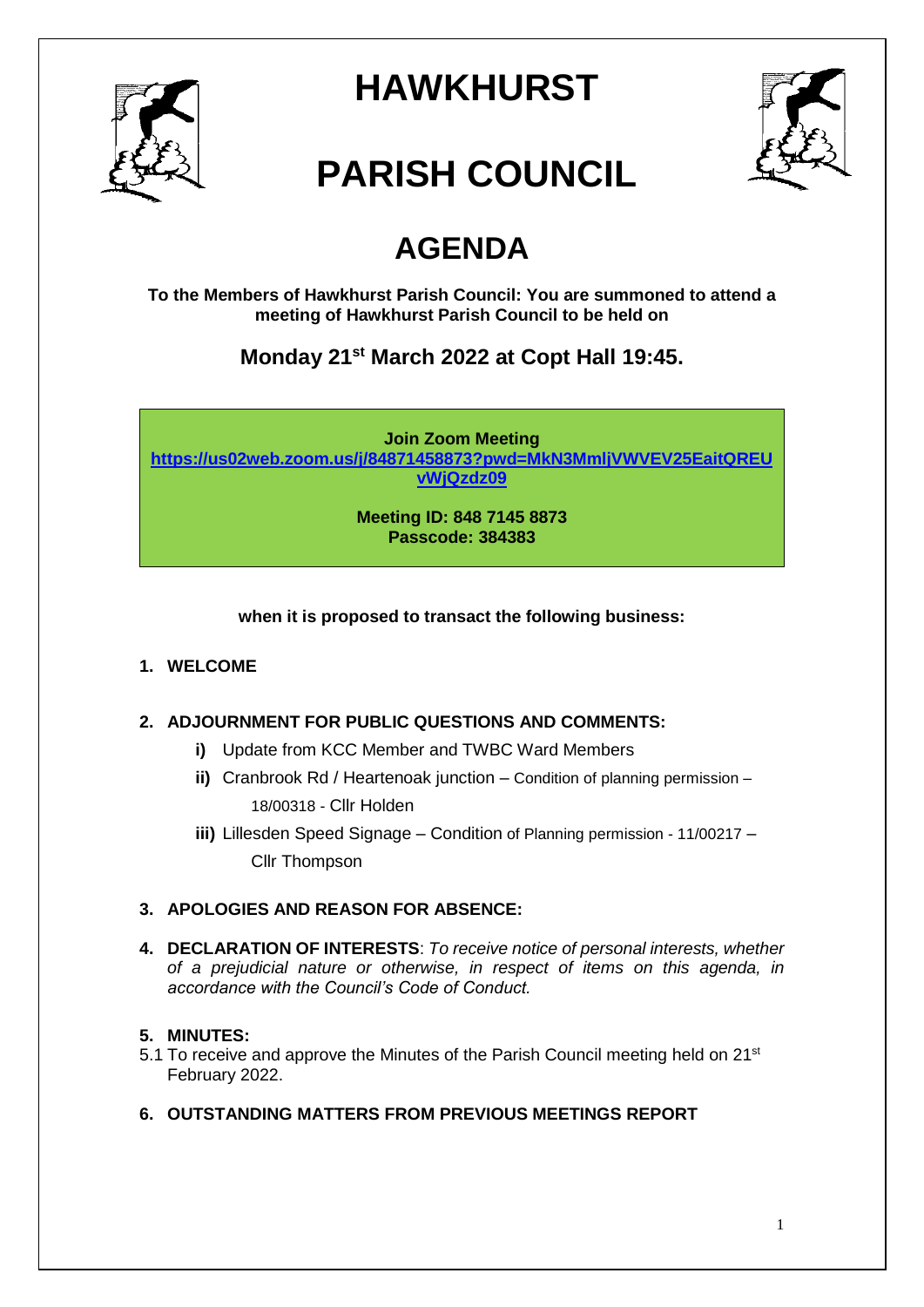

# **HAWKHURST**



# **PARISH COUNCIL**

# **AGENDA**

**To the Members of Hawkhurst Parish Council: You are summoned to attend a meeting of Hawkhurst Parish Council to be held on**

**Monday 21st March 2022 at Copt Hall 19:45.**

**Join Zoom Meeting [https://us02web.zoom.us/j/84871458873?pwd=MkN3MmljVWVEV25EaitQREU](https://us02web.zoom.us/j/84871458873?pwd=MkN3MmljVWVEV25EaitQREUvWjQzdz09) [vWjQzdz09](https://us02web.zoom.us/j/84871458873?pwd=MkN3MmljVWVEV25EaitQREUvWjQzdz09)**

> **Meeting ID: 848 7145 8873 Passcode: 384383**

# **when it is proposed to transact the following business:**

## **1. WELCOME**

## **2. ADJOURNMENT FOR PUBLIC QUESTIONS AND COMMENTS:**

- **i)** Update from KCC Member and TWBC Ward Members
- **ii)** Cranbrook Rd / Heartenoak junction Condition of planning permission 18/00318 - Cllr Holden
- **iii)** Lillesden Speed Signage Condition of Planning permission 11/00217 Cllr Thompson

# **3. APOLOGIES AND REASON FOR ABSENCE:**

**4. DECLARATION OF INTERESTS**: *To receive notice of personal interests, whether of a prejudicial nature or otherwise, in respect of items on this agenda, in accordance with the Council's Code of Conduct.*

#### **5. MINUTES:**

- 5.1 To receive and approve the Minutes of the Parish Council meeting held on 21<sup>st</sup> February 2022.
- **6. OUTSTANDING MATTERS FROM PREVIOUS MEETINGS REPORT**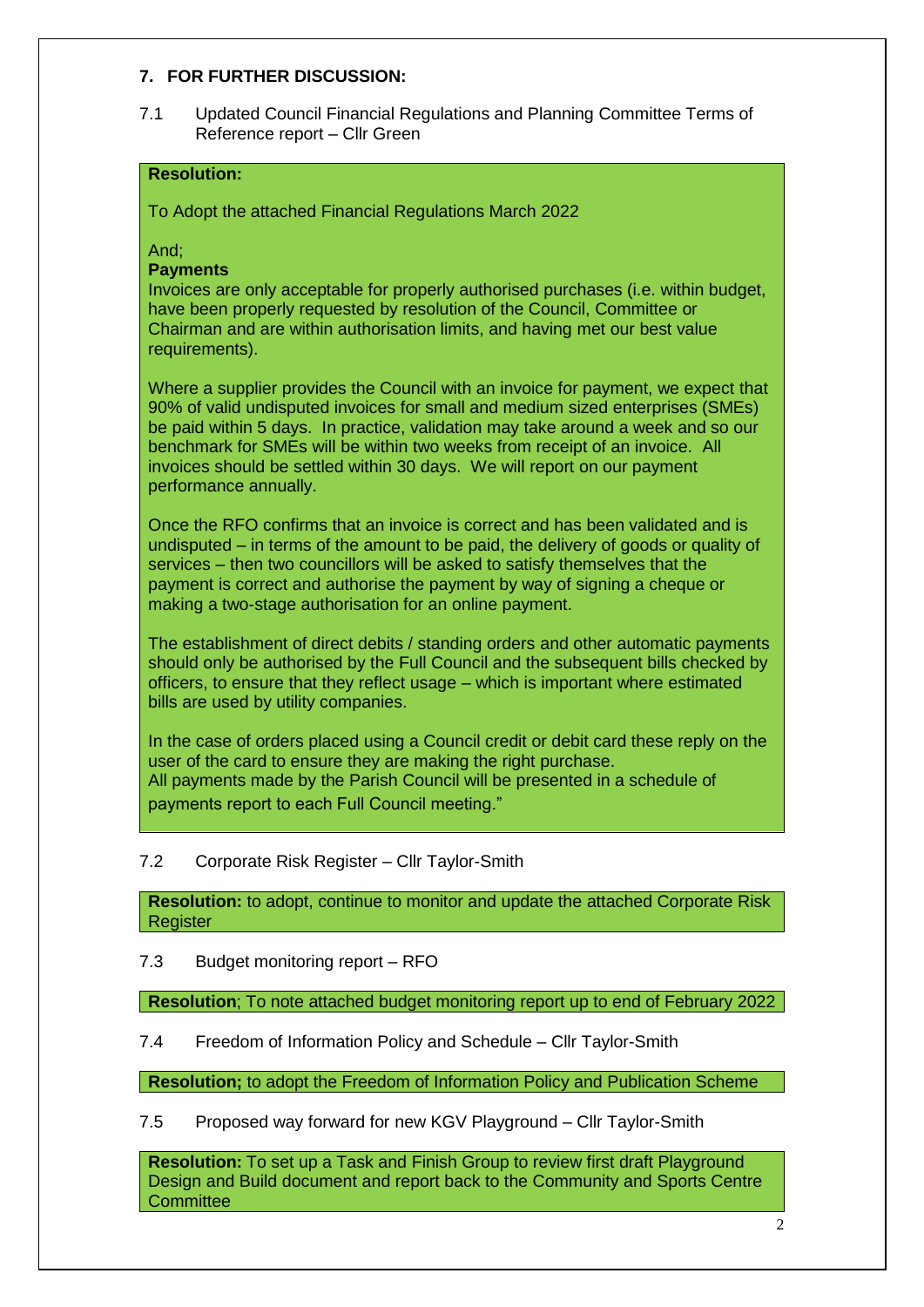#### **7. FOR FURTHER DISCUSSION:**

7.1 Updated Council Financial Regulations and Planning Committee Terms of Reference report – Cllr Green

#### **Resolution:**

To Adopt the attached Financial Regulations March 2022

And;

**Payments**

Invoices are only acceptable for properly authorised purchases (i.e. within budget, have been properly requested by resolution of the Council, Committee or Chairman and are within authorisation limits, and having met our best value requirements).

Where a supplier provides the Council with an invoice for payment, we expect that 90% of valid undisputed invoices for small and medium sized enterprises (SMEs) be paid within 5 days. In practice, validation may take around a week and so our benchmark for SMEs will be within two weeks from receipt of an invoice. All invoices should be settled within 30 days. We will report on our payment performance annually.

Once the RFO confirms that an invoice is correct and has been validated and is undisputed – in terms of the amount to be paid, the delivery of goods or quality of services – then two councillors will be asked to satisfy themselves that the payment is correct and authorise the payment by way of signing a cheque or making a two-stage authorisation for an online payment.

The establishment of direct debits / standing orders and other automatic payments should only be authorised by the Full Council and the subsequent bills checked by officers, to ensure that they reflect usage – which is important where estimated bills are used by utility companies.

In the case of orders placed using a Council credit or debit card these reply on the user of the card to ensure they are making the right purchase. All payments made by the Parish Council will be presented in a schedule of payments report to each Full Council meeting."

#### 7.2 Corporate Risk Register – Cllr Taylor-Smith

**Resolution:** to adopt, continue to monitor and update the attached Corporate Risk Register

#### 7.3 Budget monitoring report – RFO

**Resolution**; To note attached budget monitoring report up to end of February 2022

7.4 Freedom of Information Policy and Schedule – Cllr Taylor-Smith

**Resolution;** to adopt the Freedom of Information Policy and Publication Scheme

7.5 Proposed way forward for new KGV Playground – Cllr Taylor-Smith

**Resolution:** To set up a Task and Finish Group to review first draft Playground Design and Build document and report back to the Community and Sports Centre **Committee**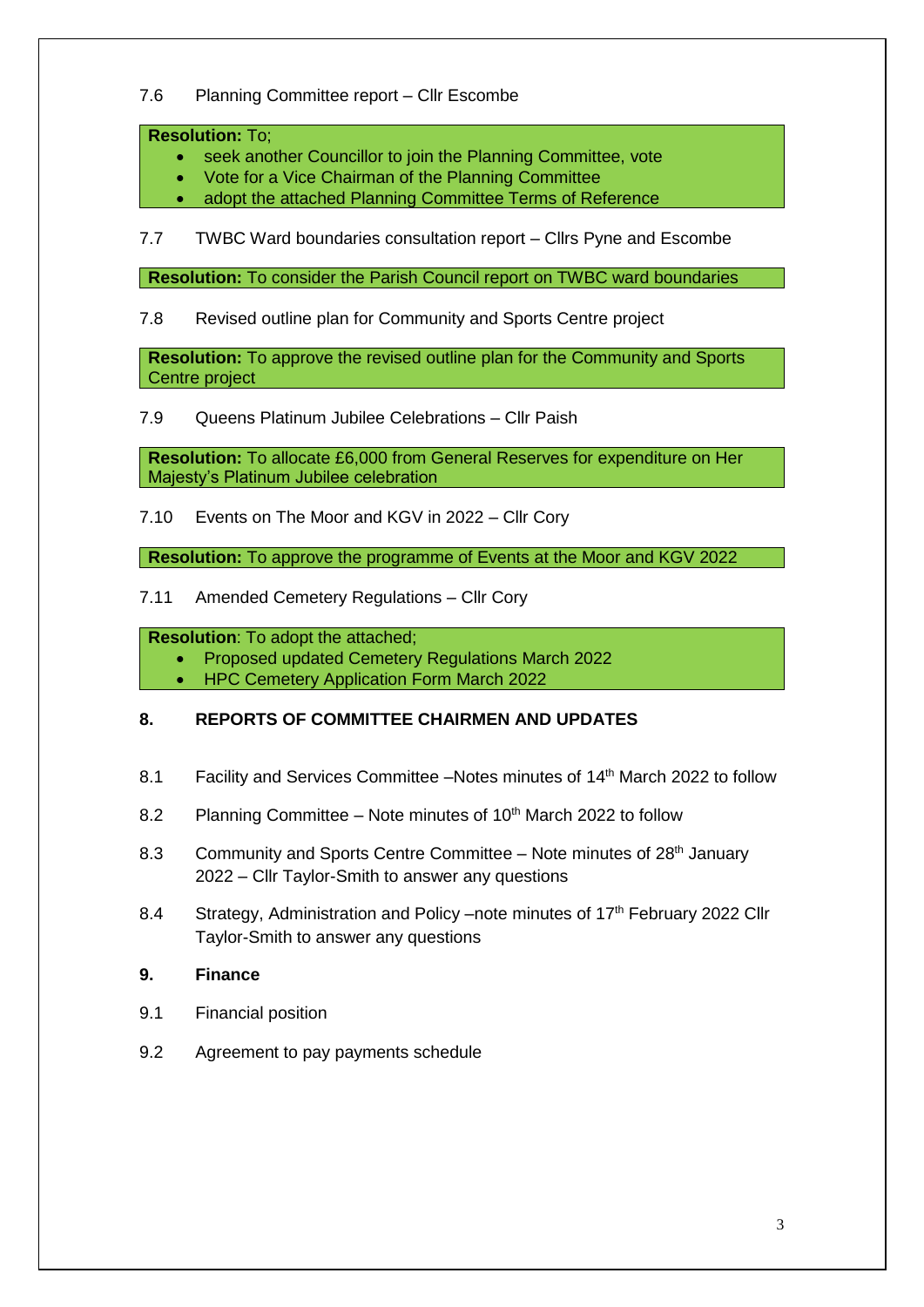#### 7.6 Planning Committee report – Cllr Escombe

#### **Resolution:** To;

- seek another Councillor to join the Planning Committee, vote
- Vote for a Vice Chairman of the Planning Committee
- adopt the attached Planning Committee Terms of Reference

7.7 TWBC Ward boundaries consultation report – Cllrs Pyne and Escombe

**Resolution:** To consider the Parish Council report on TWBC ward boundaries

#### 7.8 Revised outline plan for Community and Sports Centre project

**Resolution:** To approve the revised outline plan for the Community and Sports Centre project

7.9 Queens Platinum Jubilee Celebrations – Cllr Paish

**Resolution:** To allocate £6,000 from General Reserves for expenditure on Her Majesty's Platinum Jubilee celebration

7.10 Events on The Moor and KGV in 2022 – Cllr Cory

**Resolution:** To approve the programme of Events at the Moor and KGV 2022

7.11 Amended Cemetery Regulations – Cllr Cory

**Resolution**: To adopt the attached;

Proposed updated Cemetery Regulations March 2022

• HPC Cemetery Application Form March 2022

## **8. REPORTS OF COMMITTEE CHAIRMEN AND UPDATES**

- 8.1 Facility and Services Committee –Notes minutes of 14<sup>th</sup> March 2022 to follow
- 8.2 Planning Committee Note minutes of  $10<sup>th</sup>$  March 2022 to follow
- 8.3 Community and Sports Centre Committee Note minutes of 28<sup>th</sup> January 2022 – Cllr Taylor-Smith to answer any questions
- 8.4 Strategy, Administration and Policy –note minutes of 17<sup>th</sup> February 2022 Cllr Taylor-Smith to answer any questions
- **9. Finance**
- 9.1 Financial position
- 9.2 Agreement to pay payments schedule